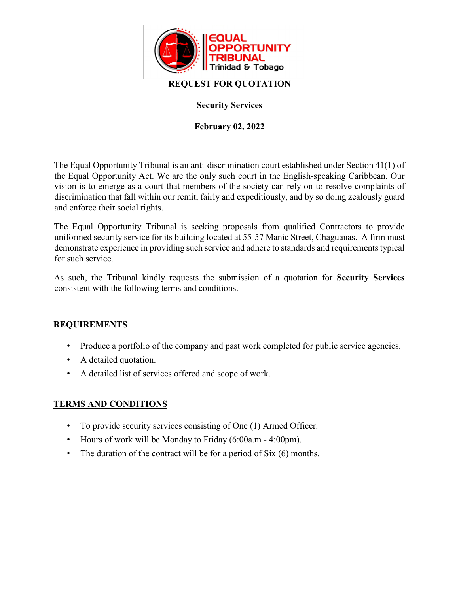

## **REQUEST FOR QUOTATION**

## **Security Services**

## **February 02, 2022**

The Equal Opportunity Tribunal is an anti-discrimination court established under Section 41(1) of the Equal Opportunity Act. We are the only such court in the English-speaking Caribbean. Our vision is to emerge as a court that members of the society can rely on to resolve complaints of discrimination that fall within our remit, fairly and expeditiously, and by so doing zealously guard and enforce their social rights.

The Equal Opportunity Tribunal is seeking proposals from qualified Contractors to provide uniformed security service for its building located at 55-57 Manic Street, Chaguanas. A firm must demonstrate experience in providing such service and adhere to standards and requirements typical for such service.

As such, the Tribunal kindly requests the submission of a quotation for **Security Services** consistent with the following terms and conditions.

# **REQUIREMENTS**

- Produce a portfolio of the company and past work completed for public service agencies.
- A detailed quotation.
- A detailed list of services offered and scope of work.

### **TERMS AND CONDITIONS**

- To provide security services consisting of One (1) Armed Officer.
- Hours of work will be Monday to Friday (6:00a.m 4:00pm).
- The duration of the contract will be for a period of Six (6) months.